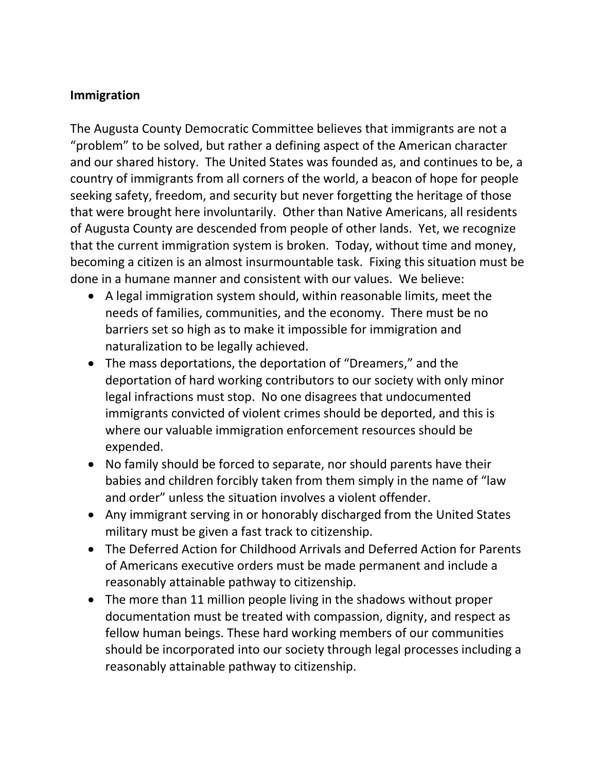## **Immigration**

The Augusta County Democratic Committee believes that immigrants are not a "problem" to be solved, but rather a defining aspect of the American character and our shared history. The United States was founded as, and continues to be, a country of immigrants from all corners of the world, a beacon of hope for people seeking safety, freedom, and security but never forgetting the heritage of those that were brought here involuntarily. Other than Native Americans, all residents of Augusta County are descended from people of other lands. Yet, we recognize that the current immigration system is broken. Today, without time and money, becoming a citizen is an almost insurmountable task. Fixing this situation must be done in a humane manner and consistent with our values. We believe:

- A legal immigration system should, within reasonable limits, meet the needs of families, communities, and the economy. There must be no barriers set so high as to make it impossible for immigration and naturalization to be legally achieved.
- The mass deportations, the deportation of "Dreamers," and the deportation of hard working contributors to our society with only minor legal infractions must stop. No one disagrees that undocumented immigrants convicted of violent crimes should be deported, and this is where our valuable immigration enforcement resources should be expended.
- No family should be forced to separate, nor should parents have their babies and children forcibly taken from them simply in the name of "law and order" unless the situation involves a violent offender.
- Any immigrant serving in or honorably discharged from the United States military must be given a fast track to citizenship.
- The Deferred Action for Childhood Arrivals and Deferred Action for Parents of Americans executive orders must be made permanent and include a reasonably attainable pathway to citizenship.
- The more than 11 million people living in the shadows without proper documentation must be treated with compassion, dignity, and respect as fellow human beings. These hard working members of our communities should be incorporated into our society through legal processes including a reasonably attainable pathway to citizenship.